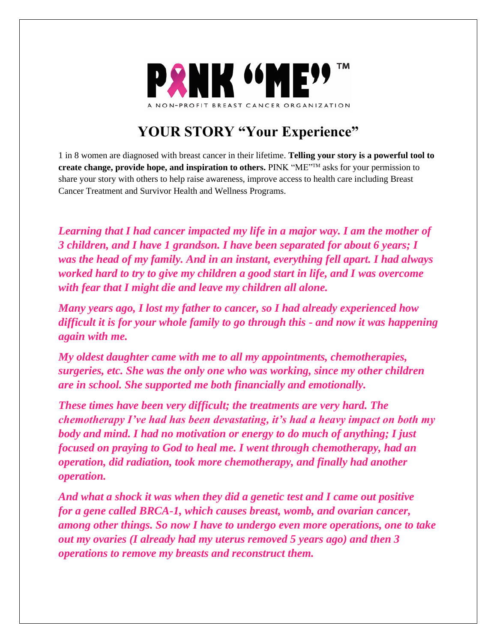

## **YOUR STORY "Your Experience"**

1 in 8 women are diagnosed with breast cancer in their lifetime. **Telling your story is a powerful tool to create change, provide hope, and inspiration to others.** PINK "ME"TM asks for your permission to share your story with others to help raise awareness, improve access to health care including Breast Cancer Treatment and Survivor Health and Wellness Programs.

*Learning that I had cancer impacted my life in a major way. I am the mother of 3 children, and I have 1 grandson. I have been separated for about 6 years; I was the head of my family. And in an instant, everything fell apart. I had always worked hard to try to give my children a good start in life, and I was overcome with fear that I might die and leave my children all alone.*

*Many years ago, I lost my father to cancer, so I had already experienced how difficult it is for your whole family to go through this - and now it was happening again with me.*

*My oldest daughter came with me to all my appointments, chemotherapies, surgeries, etc. She was the only one who was working, since my other children are in school. She supported me both financially and emotionally.*

*These times have been very difficult; the treatments are very hard. The chemotherapy I've had has been devastating, it's had a heavy impact on both my body and mind. I had no motivation or energy to do much of anything; I just focused on praying to God to heal me. I went through chemotherapy, had an operation, did radiation, took more chemotherapy, and finally had another operation.*

*And what a shock it was when they did a genetic test and I came out positive for a gene called BRCA-1, which causes breast, womb, and ovarian cancer, among other things. So now I have to undergo even more operations, one to take out my ovaries (I already had my uterus removed 5 years ago) and then 3 operations to remove my breasts and reconstruct them.*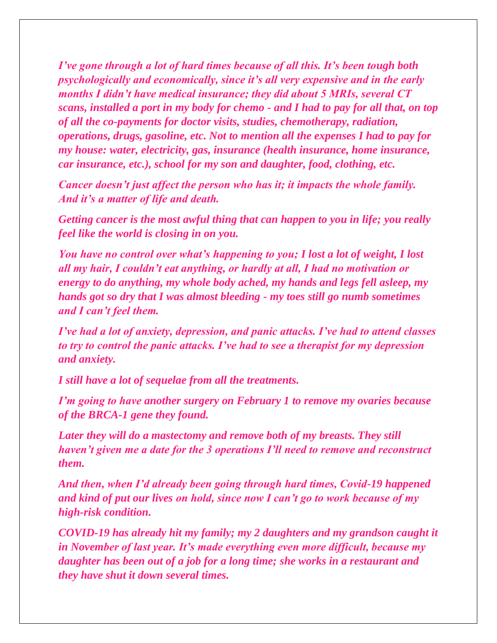*I've gone through a lot of hard times because of all this. It's been tough both psychologically and economically, since it's all very expensive and in the early months I didn't have medical insurance; they did about 5 MRIs, several CT scans, installed a port in my body for chemo - and I had to pay for all that, on top of all the co-payments for doctor visits, studies, chemotherapy, radiation, operations, drugs, gasoline, etc. Not to mention all the expenses I had to pay for my house: water, electricity, gas, insurance (health insurance, home insurance, car insurance, etc.), school for my son and daughter, food, clothing, etc.*

*Cancer doesn't just affect the person who has it; it impacts the whole family. And it's a matter of life and death.*

*Getting cancer is the most awful thing that can happen to you in life; you really feel like the world is closing in on you.*

*You have no control over what's happening to you; I lost a lot of weight, I lost all my hair, I couldn't eat anything, or hardly at all, I had no motivation or energy to do anything, my whole body ached, my hands and legs fell asleep, my hands got so dry that I was almost bleeding - my toes still go numb sometimes and I can't feel them.*

*I've had a lot of anxiety, depression, and panic attacks. I've had to attend classes to try to control the panic attacks. I've had to see a therapist for my depression and anxiety.*

*I still have a lot of sequelae from all the treatments.*

*I'm going to have another surgery on February 1 to remove my ovaries because of the BRCA-1 gene they found.*

*Later they will do a mastectomy and remove both of my breasts. They still haven't given me a date for the 3 operations I'll need to remove and reconstruct them.*

*And then, when I'd already been going through hard times, Covid-19 happened and kind of put our lives on hold, since now I can't go to work because of my high-risk condition.*

*COVID-19 has already hit my family; my 2 daughters and my grandson caught it in November of last year. It's made everything even more difficult, because my daughter has been out of a job for a long time; she works in a restaurant and they have shut it down several times.*